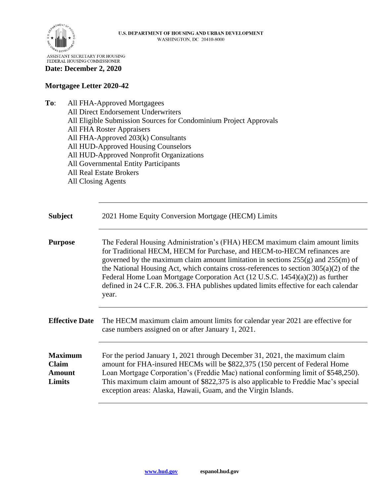

**Date: December 2, 2020**

## **Mortgagee Letter 2020-42**

**To**: All FHA-Approved Mortgagees

All Direct Endorsement Underwriters All Eligible Submission Sources for Condominium Project Approvals All FHA Roster Appraisers All FHA-Approved 203(k) Consultants All HUD-Approved Housing Counselors All HUD-Approved Nonprofit Organizations All Governmental Entity Participants All Real Estate Brokers All Closing Agents

| <b>Subject</b>                                            | 2021 Home Equity Conversion Mortgage (HECM) Limits                                                                                                                                                                                                                                                                                                                                                                                                                                                                                      |
|-----------------------------------------------------------|-----------------------------------------------------------------------------------------------------------------------------------------------------------------------------------------------------------------------------------------------------------------------------------------------------------------------------------------------------------------------------------------------------------------------------------------------------------------------------------------------------------------------------------------|
| <b>Purpose</b>                                            | The Federal Housing Administration's (FHA) HECM maximum claim amount limits<br>for Traditional HECM, HECM for Purchase, and HECM-to-HECM refinances are<br>governed by the maximum claim amount limitation in sections $255(g)$ and $255(m)$ of<br>the National Housing Act, which contains cross-references to section $305(a)(2)$ of the<br>Federal Home Loan Mortgage Corporation Act $(12 \text{ U.S.C. } 1454)(a)(2))$ as further<br>defined in 24 C.F.R. 206.3. FHA publishes updated limits effective for each calendar<br>year. |
| <b>Effective Date</b>                                     | The HECM maximum claim amount limits for calendar year 2021 are effective for<br>case numbers assigned on or after January 1, 2021.                                                                                                                                                                                                                                                                                                                                                                                                     |
| <b>Maximum</b><br><b>Claim</b><br><b>Amount</b><br>Limits | For the period January 1, 2021 through December 31, 2021, the maximum claim<br>amount for FHA-insured HECMs will be \$822,375 (150 percent of Federal Home<br>Loan Mortgage Corporation's (Freddie Mac) national conforming limit of \$548,250).<br>This maximum claim amount of \$822,375 is also applicable to Freddie Mac's special<br>exception areas: Alaska, Hawaii, Guam, and the Virgin Islands.                                                                                                                                |